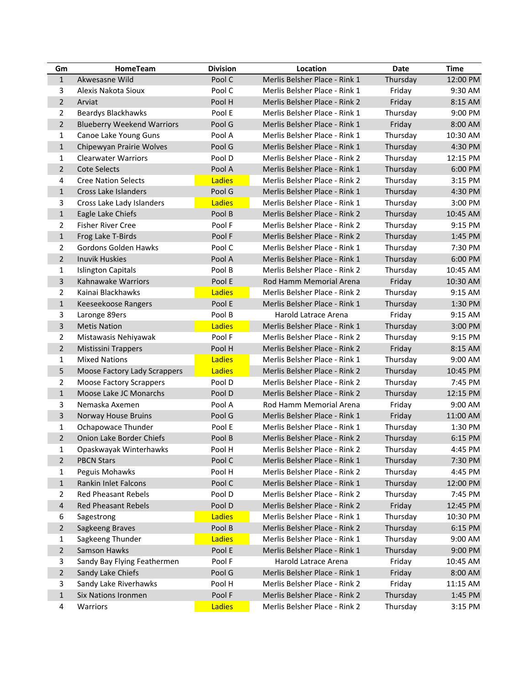| Gm             | HomeTeam                          | <b>Division</b> | Location                      | Date     | <b>Time</b> |
|----------------|-----------------------------------|-----------------|-------------------------------|----------|-------------|
| $\mathbf{1}$   | Akwesasne Wild                    | Pool C          | Merlis Belsher Place - Rink 1 | Thursday | 12:00 PM    |
| 3              | Alexis Nakota Sioux               | Pool C          | Merlis Belsher Place - Rink 1 | Friday   | 9:30 AM     |
| $\overline{2}$ | Arviat                            | Pool H          | Merlis Belsher Place - Rink 2 | Friday   | 8:15 AM     |
| $\overline{2}$ | <b>Beardys Blackhawks</b>         | Pool E          | Merlis Belsher Place - Rink 1 | Thursday | 9:00 PM     |
| $\overline{2}$ | <b>Blueberry Weekend Warriors</b> | Pool G          | Merlis Belsher Place - Rink 1 | Friday   | 8:00 AM     |
| $\mathbf{1}$   | Canoe Lake Young Guns             | Pool A          | Merlis Belsher Place - Rink 1 | Thursday | 10:30 AM    |
| $\mathbf{1}$   | Chipewyan Prairie Wolves          | Pool G          | Merlis Belsher Place - Rink 1 | Thursday | 4:30 PM     |
| 1              | <b>Clearwater Warriors</b>        | Pool D          | Merlis Belsher Place - Rink 2 | Thursday | 12:15 PM    |
| $\overline{2}$ | <b>Cote Selects</b>               | Pool A          | Merlis Belsher Place - Rink 1 | Thursday | 6:00 PM     |
| 4              | <b>Cree Nation Selects</b>        | Ladies          | Merlis Belsher Place - Rink 2 | Thursday | 3:15 PM     |
| $\mathbf{1}$   | Cross Lake Islanders              | Pool G          | Merlis Belsher Place - Rink 1 | Thursday | 4:30 PM     |
| 3              | Cross Lake Lady Islanders         | Ladies          | Merlis Belsher Place - Rink 1 | Thursday | 3:00 PM     |
| $1\,$          | Eagle Lake Chiefs                 | Pool B          | Merlis Belsher Place - Rink 2 | Thursday | 10:45 AM    |
| 2              | <b>Fisher River Cree</b>          | Pool F          | Merlis Belsher Place - Rink 2 | Thursday | 9:15 PM     |
| $\mathbf{1}$   | Frog Lake T-Birds                 | Pool F          | Merlis Belsher Place - Rink 2 | Thursday | 1:45 PM     |
| 2              | <b>Gordons Golden Hawks</b>       | Pool C          | Merlis Belsher Place - Rink 1 | Thursday | 7:30 PM     |
| 2              | <b>Inuvik Huskies</b>             | Pool A          | Merlis Belsher Place - Rink 1 | Thursday | 6:00 PM     |
| $\mathbf{1}$   | <b>Islington Capitals</b>         | Pool B          | Merlis Belsher Place - Rink 2 | Thursday | 10:45 AM    |
| 3              | Kahnawake Warriors                | Pool E          | Rod Hamm Memorial Arena       | Friday   | 10:30 AM    |
| $\overline{2}$ | Kainai Blackhawks                 | <b>Ladies</b>   | Merlis Belsher Place - Rink 2 | Thursday | 9:15 AM     |
| $\mathbf{1}$   | Keeseekoose Rangers               | Pool E          | Merlis Belsher Place - Rink 1 | Thursday | 1:30 PM     |
| 3              | Laronge 89ers                     | Pool B          | Harold Latrace Arena          | Friday   | 9:15 AM     |
| 3              | <b>Metis Nation</b>               | <b>Ladies</b>   | Merlis Belsher Place - Rink 1 | Thursday | 3:00 PM     |
| $\overline{2}$ | Mistawasis Nehiyawak              | Pool F          | Merlis Belsher Place - Rink 2 | Thursday | 9:15 PM     |
| $\overline{2}$ | <b>Mistissini Trappers</b>        | Pool H          | Merlis Belsher Place - Rink 2 | Friday   | 8:15 AM     |
| 1              | <b>Mixed Nations</b>              | Ladies          | Merlis Belsher Place - Rink 1 | Thursday | 9:00 AM     |
| 5              | Moose Factory Lady Scrappers      | Ladies          | Merlis Belsher Place - Rink 2 | Thursday | 10:45 PM    |
| $\overline{2}$ | <b>Moose Factory Scrappers</b>    | Pool D          | Merlis Belsher Place - Rink 2 | Thursday | 7:45 PM     |
| $\mathbf{1}$   | Moose Lake JC Monarchs            | Pool D          | Merlis Belsher Place - Rink 2 | Thursday | 12:15 PM    |
| 3              | Nemaska Axemen                    | Pool A          | Rod Hamm Memorial Arena       | Friday   | 9:00 AM     |
| 3              | Norway House Bruins               | Pool G          | Merlis Belsher Place - Rink 1 | Friday   | 11:00 AM    |
| 1              | Ochapowace Thunder                | Pool E          | Merlis Belsher Place - Rink 1 | Thursday | 1:30 PM     |
| $\overline{2}$ | Onion Lake Border Chiefs          | Pool B          | Merlis Belsher Place - Rink 2 | Thursday | 6:15 PM     |
| 1              | Opaskwayak Winterhawks            | Pool H          | Merlis Belsher Place - Rink 2 | Thursday | 4:45 PM     |
| $\overline{2}$ | <b>PBCN Stars</b>                 | Pool C          | Merlis Belsher Place - Rink 1 | Thursday | 7:30 PM     |
| $\mathbf{1}$   | Peguis Mohawks                    | Pool H          | Merlis Belsher Place - Rink 2 | Thursday | 4:45 PM     |
| $\mathbf{1}$   | Rankin Inlet Falcons              | Pool C          | Merlis Belsher Place - Rink 1 | Thursday | 12:00 PM    |
| $\overline{2}$ | <b>Red Pheasant Rebels</b>        | Pool D          | Merlis Belsher Place - Rink 2 | Thursday | 7:45 PM     |
| 4              | <b>Red Pheasant Rebels</b>        | Pool D          | Merlis Belsher Place - Rink 2 | Friday   | 12:45 PM    |
| 6              | Sagestrong                        | <b>Ladies</b>   | Merlis Belsher Place - Rink 1 | Thursday | 10:30 PM    |
| $\overline{2}$ | Sagkeeng Braves                   | Pool B          | Merlis Belsher Place - Rink 2 | Thursday | 6:15 PM     |
| $\mathbf{1}$   | Sagkeeng Thunder                  | Ladies          | Merlis Belsher Place - Rink 1 | Thursday | 9:00 AM     |
| $\overline{2}$ | Samson Hawks                      | Pool E          | Merlis Belsher Place - Rink 1 | Thursday | 9:00 PM     |
| 3              | Sandy Bay Flying Feathermen       | Pool F          | Harold Latrace Arena          | Friday   | 10:45 AM    |
| $\overline{2}$ | Sandy Lake Chiefs                 | Pool G          | Merlis Belsher Place - Rink 1 | Friday   | 8:00 AM     |
| 3              | Sandy Lake Riverhawks             | Pool H          | Merlis Belsher Place - Rink 2 | Friday   | 11:15 AM    |
| $\mathbf{1}$   | Six Nations Ironmen               | Pool F          | Merlis Belsher Place - Rink 2 | Thursday | 1:45 PM     |
| 4              | Warriors                          | Ladies          | Merlis Belsher Place - Rink 2 | Thursday | 3:15 PM     |